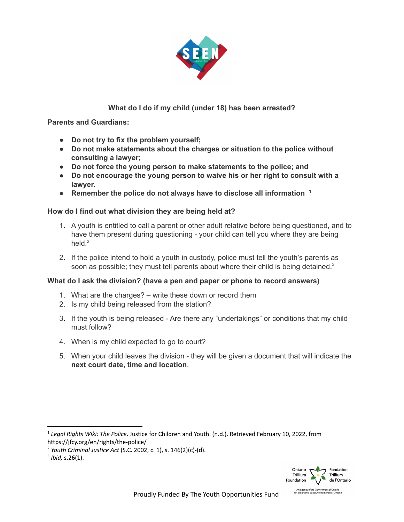

## **What do I do if my child (under 18) has been arrested?**

**Parents and Guardians:**

- **● Do not try to fix the problem yourself;**
- **● Do not make statements about the charges or situation to the police without consulting a lawyer;**
- **● Do not force the young person to make statements to the police; and**
- **● Do not encourage the young person to waive his or her right to consult with a lawyer.**
- **● Remember the police do not always have to disclose all information 1**

## **How do I find out what division they are being held at?**

- 1. A youth is entitled to call a parent or other adult relative before being questioned, and to have them present during questioning - your child can tell you where they are being held.<sup>2</sup>
- 2. If the police intend to hold a youth in custody, police must tell the youth's parents as soon as possible; they must tell parents about where their child is being detained. $3$

## **What do I ask the division? (have a pen and paper or phone to record answers)**

- 1. What are the charges? write these down or record them
- 2. Is my child being released from the station?
- 3. If the youth is being released Are there any "undertakings" or conditions that my child must follow?
- 4. When is my child expected to go to court?
- 5. When your child leaves the division they will be given a document that will indicate the **next court date, time and location**.



<sup>1</sup> *Legal Rights Wiki: The Police*. Justice for Children and Youth. (n.d.). Retrieved February 10, 2022, from https://jfcy.org/en/rights/the-police/

<sup>2</sup> *Youth Criminal Justice Act* (S.C. 2002, c. 1), s. 146(2)(c)-(d).

<sup>3</sup> *Ibid,* s.26(1).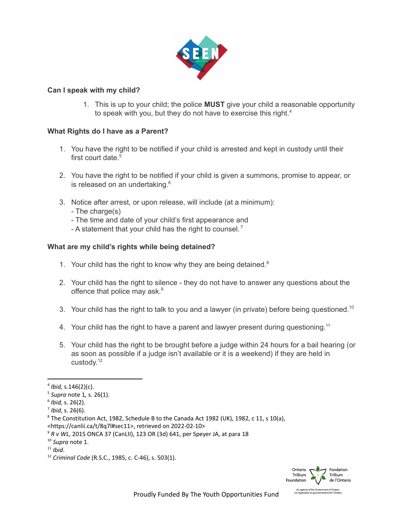

## **Can I speak with my child?**

1. This is up to your child; the police **MUST** give your child a reasonable opportunity to speak with you, but they do not have to exercise this right.<sup>4</sup>

## **What Rights do I have as a Parent?**

- 1. You have the right to be notified if your child is arrested and kept in custody until their first court date.<sup>5</sup>
- 2. You have the right to be notified if your child is given a summons, promise to appear, or is released on an undertaking. 6
- 3. Notice after arrest, or upon release, will include (at a minimum):
	- The charge(s)
	- The time and date of your child's first appearance and
	- A statement that your child has the right to counsel.<sup>7</sup>

## **What are my child's rights while being detained?**

- 1. Your child has the right to know why they are being detained. $8$
- 2. Your child has the right to silence they do not have to answer any questions about the offence that police may ask.<sup>9</sup>
- 3. Your child has the right to talk to you and a lawyer (in private) before being questioned.<sup>10</sup>
- 4. Your child has the right to have a parent and lawyer present during questioning.<sup>11</sup>
- 5. Your child has the right to be brought before a judge within 24 hours for a bail hearing (or as soon as possible if a judge isn't available or it is a weekend) if they are held in custody.<sup>12</sup>



<sup>4</sup> *Ibid,* s.146(2)(c).

<sup>5</sup> *Supra* note 1*,* s. 26(1).

<sup>6</sup> *Ibid,* s. 26(2).

<sup>7</sup> *Ibid*, s. 26(6).

<sup>&</sup>lt;sup>8</sup> The Constitution Act, 1982, Schedule B to the Canada Act 1982 (UK), 1982, c 11, s 10(a), <https://canlii.ca/t/8q7l#sec11>, retrieved on 2022-02-10>

<sup>9</sup> *R v WL*, 2015 ONCA 37 (CanLII), 123 OR (3d) 641, per Speyer JA, at para 18

<sup>10</sup> *Supra* note 1.

<sup>11</sup> *Ibid*.

<sup>12</sup> *Criminal Code* (R.S.C., 1985, c. C-46), s. 503(1).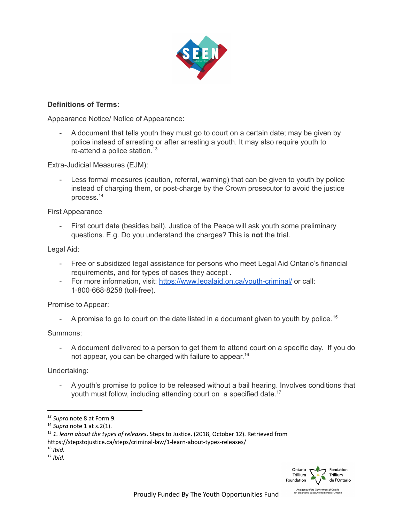

## **Definitions of Terms:**

Appearance Notice/ Notice of Appearance:

- A document that tells youth they must go to court on a certain date; may be given by police instead of arresting or after arresting a youth. It may also require youth to re-attend a police station. $13$ 

Extra-Judicial Measures (EJM):

Less formal measures (caution, referral, warning) that can be given to youth by police instead of charging them, or post-charge by the Crown prosecutor to avoid the justice process. 14

First Appearance

- First court date (besides bail). Justice of the Peace will ask youth some preliminary questions. E.g. Do you understand the charges? This is **not** the trial.

Legal Aid:

- Free or subsidized legal assistance for persons who meet Legal Aid Ontario's financial requirements, and for types of cases they accept .
- For more information, visit: https://www.legalaid.on.ca/vouth-criminal/ or call: 1‑800‑668‑8258 (toll-free).

Promise to Appear:

- A promise to go to court on the date listed in a document given to youth by police.<sup>15</sup>

Summons:

- A document delivered to a person to get them to attend court on a specific day. If you do not appear, you can be charged with failure to appear.<sup>16</sup>

Undertaking:

- A youth's promise to police to be released without a bail hearing. Involves conditions that youth must follow, including attending court on a specified date.<sup>17</sup>



*<sup>13</sup> Supra* note 8 at Form 9.

<sup>14</sup> *Supra* note 1 at s.2(1).

<sup>15</sup> *1. learn about the types of releases*. Steps to Justice. (2018, October 12). Retrieved from

https://stepstojustice.ca/steps/criminal-law/1-learn-about-types-releases/

<sup>16</sup> *Ibid*.

<sup>17</sup> *Ibid*.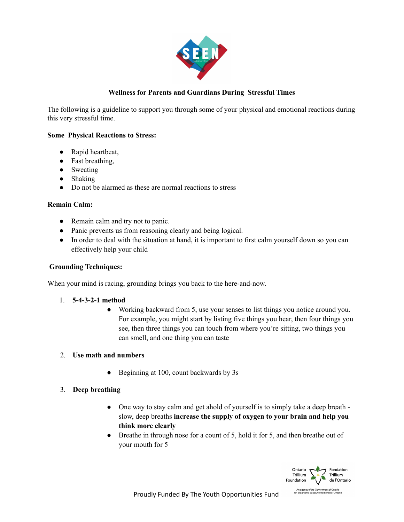

## **Wellness for Parents and Guardians During Stressful Times**

The following is a guideline to support you through some of your physical and emotional reactions during this very stressful time.

### **Some Physical Reactions to Stress:**

- Rapid heartbeat,
- Fast breathing,
- Sweating
- Shaking
- Do not be alarmed as these are normal reactions to stress

### **Remain Calm:**

- Remain calm and try not to panic.
- Panic prevents us from reasoning clearly and being logical.
- In order to deal with the situation at hand, it is important to first calm yourself down so you can effectively help your child

### **Grounding Techniques:**

When your mind is racing, grounding brings you back to the here-and-now.

- 1. **5-4-3-2-1 method**
	- Working backward from 5, use your senses to list things you notice around you. For example, you might start by listing five things you hear, then four things you see, then three things you can touch from where you're sitting, two things you can smell, and one thing you can taste

### 2. **Use math and numbers**

• Beginning at 100, count backwards by 3s

## 3. **Deep breathing**

- One way to stay calm and get ahold of yourself is to simply take a deep breath slow, deep breaths **increase the supply of oxygen to your brain and help you think more clearly**
- Breathe in through nose for a count of 5, hold it for 5, and then breathe out of your mouth for 5

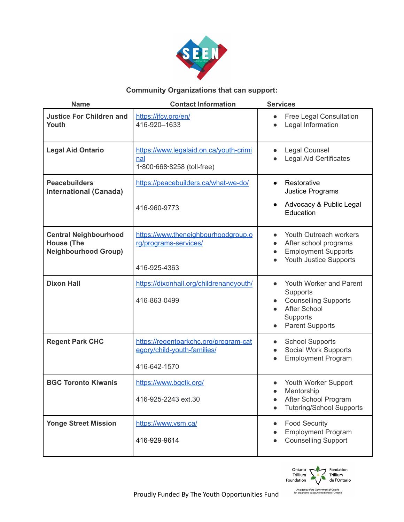

# **Community Organizations that can support:**

| <b>Name</b>                                                                      | <b>Contact Information</b>                                                           | <b>Services</b>                                                                                                                                                        |
|----------------------------------------------------------------------------------|--------------------------------------------------------------------------------------|------------------------------------------------------------------------------------------------------------------------------------------------------------------------|
| <b>Justice For Children and</b><br><b>Youth</b>                                  | https://jfcy.org/en/<br>416-920-1633                                                 | Free Legal Consultation<br>$\bullet$<br>Legal Information                                                                                                              |
| <b>Legal Aid Ontario</b>                                                         | https://www.legalaid.on.ca/youth-crimi<br>nal<br>1-800-668-8258 (toll-free)          | Legal Counsel<br>$\bullet$<br><b>Legal Aid Certificates</b>                                                                                                            |
| <b>Peacebuilders</b><br><b>International (Canada)</b>                            | https://peacebuilders.ca/what-we-do/                                                 | Restorative<br>$\bullet$<br>Justice Programs                                                                                                                           |
|                                                                                  | 416-960-9773                                                                         | Advocacy & Public Legal<br>$\bullet$<br>Education                                                                                                                      |
| <b>Central Neighbourhood</b><br><b>House (The</b><br><b>Neighbourhood Group)</b> | https://www.theneighbourhoodgroup.o<br>rg/programs-services/                         | Youth Outreach workers<br>$\bullet$<br>After school programs<br>$\bullet$<br><b>Employment Supports</b><br>$\bullet$<br><b>Youth Justice Supports</b>                  |
|                                                                                  | 416-925-4363                                                                         |                                                                                                                                                                        |
| <b>Dixon Hall</b>                                                                | https://dixonhall.org/childrenandyouth/<br>416-863-0499                              | Youth Worker and Parent<br>$\bullet$<br>Supports<br><b>Counselling Supports</b><br>$\bullet$<br><b>After School</b><br>Supports<br><b>Parent Supports</b><br>$\bullet$ |
| <b>Regent Park CHC</b>                                                           | https://regentparkchc.org/program-cat<br>egory/child-youth-families/<br>416-642-1570 | <b>School Supports</b><br>$\bullet$<br>Social Work Supports<br><b>Employment Program</b>                                                                               |
| <b>BGC Toronto Kiwanis</b>                                                       | https://www.bgctk.org/<br>416-925-2243 ext.30                                        | Youth Worker Support<br>Mentorship<br>$\bullet$<br>After School Program<br><b>Tutoring/School Supports</b>                                                             |
| <b>Yonge Street Mission</b>                                                      | https://www.ysm.ca/<br>416-929-9614                                                  | <b>Food Security</b><br>$\bullet$<br><b>Employment Program</b><br><b>Counselling Support</b>                                                                           |